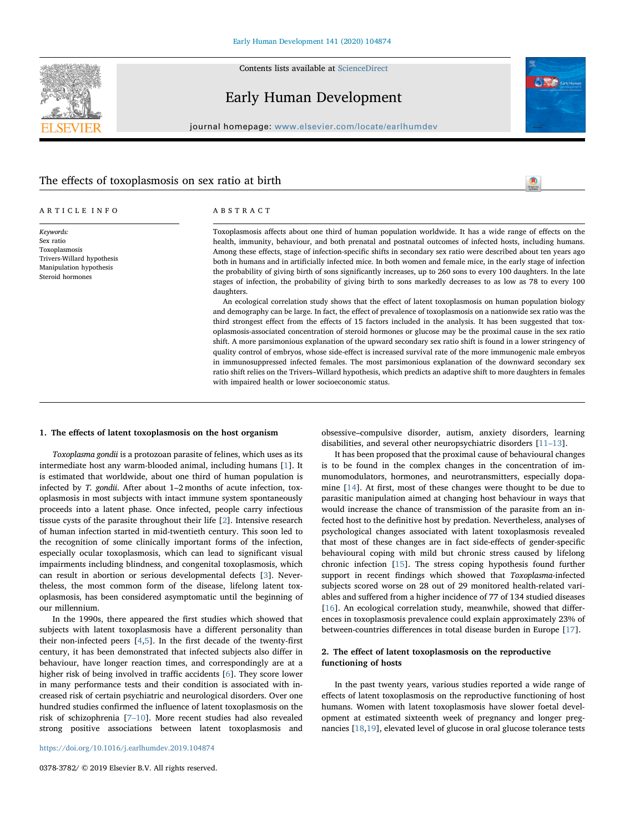Contents lists available at [ScienceDirect](http://www.sciencedirect.com/science/journal/03783782)



# Early Human Development

journal homepage: [www.elsevier.com/locate/earlhumdev](https://www.elsevier.com/locate/earlhumdev)

# $\bullet$

| ARTICLE INFO                                                                                                         | ABSTRACT                                                                                                                                                                                                                                                                                                                                                                                                                                                                                                                                                                                                                                                                                                                                                                                                                                                                          |
|----------------------------------------------------------------------------------------------------------------------|-----------------------------------------------------------------------------------------------------------------------------------------------------------------------------------------------------------------------------------------------------------------------------------------------------------------------------------------------------------------------------------------------------------------------------------------------------------------------------------------------------------------------------------------------------------------------------------------------------------------------------------------------------------------------------------------------------------------------------------------------------------------------------------------------------------------------------------------------------------------------------------|
| Keywords:<br>Sex ratio<br>Toxoplasmosis<br>Trivers-Willard hypothesis<br>Manipulation hypothesis<br>Steroid hormones | Toxoplasmosis affects about one third of human population worldwide. It has a wide range of effects on the<br>health, immunity, behaviour, and both prenatal and postnatal outcomes of infected hosts, including humans.<br>Among these effects, stage of infection-specific shifts in secondary sex ratio were described about ten years ago<br>both in humans and in artificially infected mice. In both women and female mice, in the early stage of infection<br>the probability of giving birth of sons significantly increases, up to 260 sons to every 100 daughters. In the late<br>stages of infection, the probability of giving birth to sons markedly decreases to as low as 78 to every 100<br>daughters.<br>An ecological correlation study shows that the effect of latent toxoplasmosis on human population biology                                               |
|                                                                                                                      | and demography can be large. In fact, the effect of prevalence of toxoplasmosis on a nationwide sex ratio was the<br>third strongest effect from the effects of 15 factors included in the analysis. It has been suggested that tox-<br>oplasmosis-associated concentration of steroid hormones or glucose may be the proximal cause in the sex ratio<br>shift. A more parsimonious explanation of the upward secondary sex ratio shift is found in a lower stringency of<br>quality control of embryos, whose side-effect is increased survival rate of the more immunogenic male embryos<br>in immunosuppressed infected females. The most parsimonious explanation of the downward secondary sex<br>ratio shift relies on the Trivers–Willard hypothesis, which predicts an adaptive shift to more daughters in females<br>with impaired health or lower socioeconomic status. |

## 1. The effects of latent toxoplasmosis on the host organism

The effects of toxoplasmosis on sex ratio at birth

Toxoplasma gondii is a protozoan parasite of felines, which uses as its intermediate host any warm-blooded animal, including humans [[1](#page-3-0)]. It is estimated that worldwide, about one third of human population is infected by T. gondii. After about 1–2 months of acute infection, toxoplasmosis in most subjects with intact immune system spontaneously proceeds into a latent phase. Once infected, people carry infectious tissue cysts of the parasite throughout their life [[2](#page-3-1)]. Intensive research of human infection started in mid-twentieth century. This soon led to the recognition of some clinically important forms of the infection, especially ocular toxoplasmosis, which can lead to significant visual impairments including blindness, and congenital toxoplasmosis, which can result in abortion or serious developmental defects [\[3\]](#page-3-2). Nevertheless, the most common form of the disease, lifelong latent toxoplasmosis, has been considered asymptomatic until the beginning of our millennium.

In the 1990s, there appeared the first studies which showed that subjects with latent toxoplasmosis have a different personality than their non-infected peers [\[4,](#page-3-3)[5](#page-3-4)]. In the first decade of the twenty-first century, it has been demonstrated that infected subjects also differ in behaviour, have longer reaction times, and correspondingly are at a higher risk of being involved in traffic accidents [\[6\]](#page-3-5). They score lower in many performance tests and their condition is associated with increased risk of certain psychiatric and neurological disorders. Over one hundred studies confirmed the influence of latent toxoplasmosis on the risk of schizophrenia [7–[10\]](#page-3-6). More recent studies had also revealed strong positive associations between latent toxoplasmosis and

obsessive–compulsive disorder, autism, anxiety disorders, learning disabilities, and several other neuropsychiatric disorders [11–[13\]](#page-3-7).

It has been proposed that the proximal cause of behavioural changes is to be found in the complex changes in the concentration of immunomodulators, hormones, and neurotransmitters, especially dopamine [[14\]](#page-3-8). At first, most of these changes were thought to be due to parasitic manipulation aimed at changing host behaviour in ways that would increase the chance of transmission of the parasite from an infected host to the definitive host by predation. Nevertheless, analyses of psychological changes associated with latent toxoplasmosis revealed that most of these changes are in fact side-effects of gender-specific behavioural coping with mild but chronic stress caused by lifelong chronic infection [[15\]](#page-3-9). The stress coping hypothesis found further support in recent findings which showed that Toxoplasma-infected subjects scored worse on 28 out of 29 monitored health-related variables and suffered from a higher incidence of 77 of 134 studied diseases [[16\]](#page-3-10). An ecological correlation study, meanwhile, showed that differences in toxoplasmosis prevalence could explain approximately 23% of between-countries differences in total disease burden in Europe [\[17](#page-3-11)].

# 2. The effect of latent toxoplasmosis on the reproductive functioning of hosts

In the past twenty years, various studies reported a wide range of effects of latent toxoplasmosis on the reproductive functioning of host humans. Women with latent toxoplasmosis have slower foetal development at estimated sixteenth week of pregnancy and longer pregnancies [\[18](#page-3-12),[19\]](#page-3-13), elevated level of glucose in oral glucose tolerance tests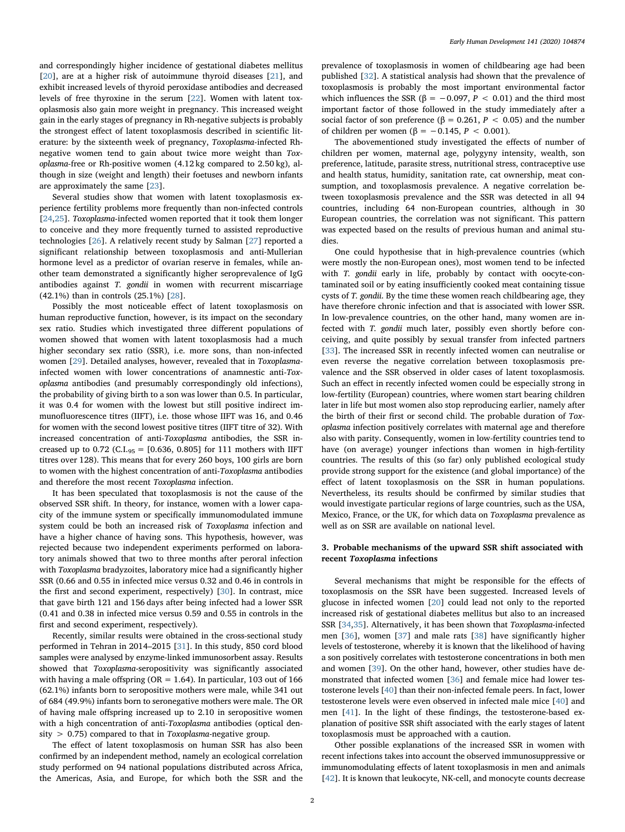and correspondingly higher incidence of gestational diabetes mellitus [[20\]](#page-3-14), are at a higher risk of autoimmune thyroid diseases [\[21](#page-3-15)], and exhibit increased levels of thyroid peroxidase antibodies and decreased levels of free thyroxine in the serum [[22\]](#page-3-16). Women with latent toxoplasmosis also gain more weight in pregnancy. This increased weight gain in the early stages of pregnancy in Rh-negative subjects is probably the strongest effect of latent toxoplasmosis described in scientific literature: by the sixteenth week of pregnancy, Toxoplasma-infected Rhnegative women tend to gain about twice more weight than Toxoplasma-free or Rh-positive women (4.12 kg compared to 2.50 kg), although in size (weight and length) their foetuses and newborn infants are approximately the same [[23\]](#page-3-17).

Several studies show that women with latent toxoplasmosis experience fertility problems more frequently than non-infected controls [[24](#page-3-18)[,25](#page-3-19)]. Toxoplasma-infected women reported that it took them longer to conceive and they more frequently turned to assisted reproductive technologies [[26\]](#page-3-20). A relatively recent study by Salman [\[27](#page-3-21)] reported a significant relationship between toxoplasmosis and anti-Mullerian hormone level as a predictor of ovarian reserve in females, while another team demonstrated a significantly higher seroprevalence of IgG antibodies against T. gondii in women with recurrent miscarriage (42.1%) than in controls (25.1%) [\[28](#page-3-22)].

Possibly the most noticeable effect of latent toxoplasmosis on human reproductive function, however, is its impact on the secondary sex ratio. Studies which investigated three different populations of women showed that women with latent toxoplasmosis had a much higher secondary sex ratio (SSR), i.e. more sons, than non-infected women [\[29](#page-3-23)]. Detailed analyses, however, revealed that in Toxoplasmainfected women with lower concentrations of anamnestic anti-Toxoplasma antibodies (and presumably correspondingly old infections), the probability of giving birth to a son was lower than 0.5. In particular, it was 0.4 for women with the lowest but still positive indirect immunofluorescence titres (IIFT), i.e. those whose IIFT was 16, and 0.46 for women with the second lowest positive titres (IIFT titre of 32). With increased concentration of anti-Toxoplasma antibodies, the SSR increased up to 0.72 (C.I.<sub>95</sub> = [0.636, 0.805] for 111 mothers with IIFT titres over 128). This means that for every 260 boys, 100 girls are born to women with the highest concentration of anti-Toxoplasma antibodies and therefore the most recent Toxoplasma infection.

It has been speculated that toxoplasmosis is not the cause of the observed SSR shift. In theory, for instance, women with a lower capacity of the immune system or specifically immunomodulated immune system could be both an increased risk of Toxoplasma infection and have a higher chance of having sons. This hypothesis, however, was rejected because two independent experiments performed on laboratory animals showed that two to three months after peroral infection with Toxoplasma bradyzoites, laboratory mice had a significantly higher SSR (0.66 and 0.55 in infected mice versus 0.32 and 0.46 in controls in the first and second experiment, respectively) [[30\]](#page-3-24). In contrast, mice that gave birth 121 and 156 days after being infected had a lower SSR (0.41 and 0.38 in infected mice versus 0.59 and 0.55 in controls in the first and second experiment, respectively).

Recently, similar results were obtained in the cross-sectional study performed in Tehran in 2014–2015 [[31\]](#page-3-25). In this study, 850 cord blood samples were analysed by enzyme-linked immunosorbent assay. Results showed that Toxoplasma-seropositivity was significantly associated with having a male offspring (OR =  $1.64$ ). In particular, 103 out of 166 (62.1%) infants born to seropositive mothers were male, while 341 out of 684 (49.9%) infants born to seronegative mothers were male. The OR of having male offspring increased up to 2.10 in seropositive women with a high concentration of anti-Toxoplasma antibodies (optical den $sity$  > 0.75) compared to that in *Toxoplasma*-negative group.

The effect of latent toxoplasmosis on human SSR has also been confirmed by an independent method, namely an ecological correlation study performed on 94 national populations distributed across Africa, the Americas, Asia, and Europe, for which both the SSR and the

prevalence of toxoplasmosis in women of childbearing age had been published [[32\]](#page-4-0). A statistical analysis had shown that the prevalence of toxoplasmosis is probably the most important environmental factor which influences the SSR (β = -0.097,  $P$  < 0.01) and the third most important factor of those followed in the study immediately after a social factor of son preference ( $β = 0.261, P < 0.05$ ) and the number of children per women (β = −0.145, P < 0.001).

The abovementioned study investigated the effects of number of children per women, maternal age, polygyny intensity, wealth, son preference, latitude, parasite stress, nutritional stress, contraceptive use and health status, humidity, sanitation rate, cat ownership, meat consumption, and toxoplasmosis prevalence. A negative correlation between toxoplasmosis prevalence and the SSR was detected in all 94 countries, including 64 non-European countries, although in 30 European countries, the correlation was not significant. This pattern was expected based on the results of previous human and animal studies.

One could hypothesise that in high-prevalence countries (which were mostly the non-European ones), most women tend to be infected with T. gondii early in life, probably by contact with oocyte-contaminated soil or by eating insufficiently cooked meat containing tissue cysts of T. gondii. By the time these women reach childbearing age, they have therefore chronic infection and that is associated with lower SSR. In low-prevalence countries, on the other hand, many women are infected with T. gondii much later, possibly even shortly before conceiving, and quite possibly by sexual transfer from infected partners [[33\]](#page-4-1). The increased SSR in recently infected women can neutralise or even reverse the negative correlation between toxoplasmosis prevalence and the SSR observed in older cases of latent toxoplasmosis. Such an effect in recently infected women could be especially strong in low-fertility (European) countries, where women start bearing children later in life but most women also stop reproducing earlier, namely after the birth of their first or second child. The probable duration of Toxoplasma infection positively correlates with maternal age and therefore also with parity. Consequently, women in low-fertility countries tend to have (on average) younger infections than women in high-fertility countries. The results of this (so far) only published ecological study provide strong support for the existence (and global importance) of the effect of latent toxoplasmosis on the SSR in human populations. Nevertheless, its results should be confirmed by similar studies that would investigate particular regions of large countries, such as the USA, Mexico, France, or the UK, for which data on Toxoplasma prevalence as well as on SSR are available on national level.

# 3. Probable mechanisms of the upward SSR shift associated with recent Toxoplasma infections

Several mechanisms that might be responsible for the effects of toxoplasmosis on the SSR have been suggested. Increased levels of glucose in infected women [\[20](#page-3-14)] could lead not only to the reported increased risk of gestational diabetes mellitus but also to an increased SSR [[34,](#page-4-2)[35\]](#page-4-3). Alternatively, it has been shown that Toxoplasma-infected men [[36\]](#page-4-4), women [\[37](#page-4-5)] and male rats [\[38](#page-4-6)] have significantly higher levels of testosterone, whereby it is known that the likelihood of having a son positively correlates with testosterone concentrations in both men and women [\[39](#page-4-7)]. On the other hand, however, other studies have demonstrated that infected women [\[36](#page-4-4)] and female mice had lower testosterone levels [\[40](#page-4-8)] than their non-infected female peers. In fact, lower testosterone levels were even observed in infected male mice [[40\]](#page-4-8) and men [\[41](#page-4-9)]. In the light of these findings, the testosterone-based explanation of positive SSR shift associated with the early stages of latent toxoplasmosis must be approached with a caution.

Other possible explanations of the increased SSR in women with recent infections takes into account the observed immunosuppressive or immunomodulating effects of latent toxoplasmosis in men and animals [[42\]](#page-4-10). It is known that leukocyte, NK-cell, and monocyte counts decrease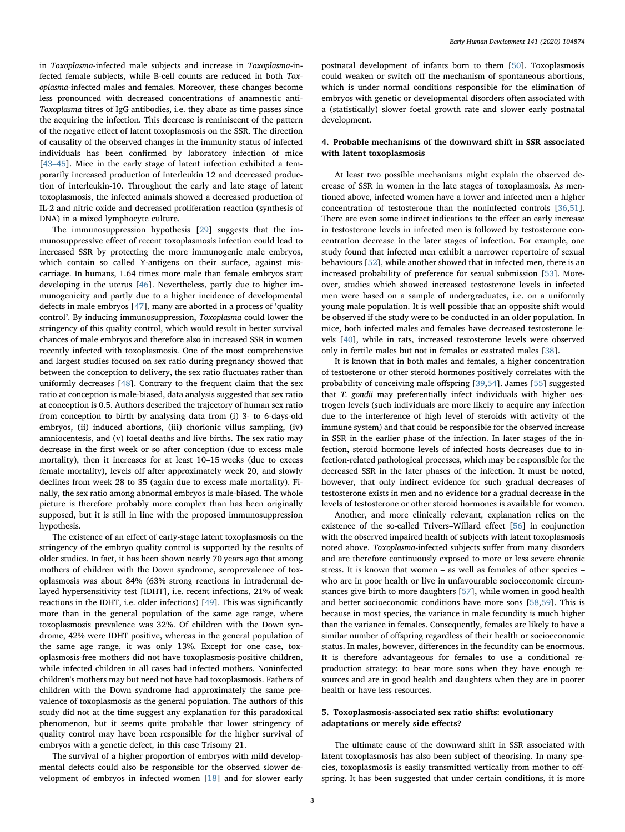in Toxoplasma-infected male subjects and increase in Toxoplasma-infected female subjects, while B-cell counts are reduced in both Toxoplasma-infected males and females. Moreover, these changes become less pronounced with decreased concentrations of anamnestic anti-Toxoplasma titres of IgG antibodies, i.e. they abate as time passes since the acquiring the infection. This decrease is reminiscent of the pattern of the negative effect of latent toxoplasmosis on the SSR. The direction of causality of the observed changes in the immunity status of infected individuals has been confirmed by laboratory infection of mice [43–[45\]](#page-4-11). Mice in the early stage of latent infection exhibited a temporarily increased production of interleukin 12 and decreased production of interleukin-10. Throughout the early and late stage of latent toxoplasmosis, the infected animals showed a decreased production of IL-2 and nitric oxide and decreased proliferation reaction (synthesis of DNA) in a mixed lymphocyte culture.

The immunosuppression hypothesis [\[29\]](#page-3-23) suggests that the immunosuppressive effect of recent toxoplasmosis infection could lead to increased SSR by protecting the more immunogenic male embryos, which contain so called Y-antigens on their surface, against miscarriage. In humans, 1.64 times more male than female embryos start developing in the uterus [[46\]](#page-4-12). Nevertheless, partly due to higher immunogenicity and partly due to a higher incidence of developmental defects in male embryos [\[47](#page-4-13)], many are aborted in a process of 'quality control'. By inducing immunosuppression, Toxoplasma could lower the stringency of this quality control, which would result in better survival chances of male embryos and therefore also in increased SSR in women recently infected with toxoplasmosis. One of the most comprehensive and largest studies focused on sex ratio during pregnancy showed that between the conception to delivery, the sex ratio fluctuates rather than uniformly decreases [\[48](#page-4-14)]. Contrary to the frequent claim that the sex ratio at conception is male-biased, data analysis suggested that sex ratio at conception is 0.5. Authors described the trajectory of human sex ratio from conception to birth by analysing data from (i) 3- to 6-days-old embryos, (ii) induced abortions, (iii) chorionic villus sampling, (iv) amniocentesis, and (v) foetal deaths and live births. The sex ratio may decrease in the first week or so after conception (due to excess male mortality), then it increases for at least 10–15 weeks (due to excess female mortality), levels off after approximately week 20, and slowly declines from week 28 to 35 (again due to excess male mortality). Finally, the sex ratio among abnormal embryos is male-biased. The whole picture is therefore probably more complex than has been originally supposed, but it is still in line with the proposed immunosuppression hypothesis.

The existence of an effect of early-stage latent toxoplasmosis on the stringency of the embryo quality control is supported by the results of older studies. In fact, it has been shown nearly 70 years ago that among mothers of children with the Down syndrome, seroprevalence of toxoplasmosis was about 84% (63% strong reactions in intradermal delayed hypersensitivity test [IDHT], i.e. recent infections, 21% of weak reactions in the IDHT, i.e. older infections) [\[49](#page-4-15)]. This was significantly more than in the general population of the same age range, where toxoplasmosis prevalence was 32%. Of children with the Down syndrome, 42% were IDHT positive, whereas in the general population of the same age range, it was only 13%. Except for one case, toxoplasmosis-free mothers did not have toxoplasmosis-positive children, while infected children in all cases had infected mothers. Noninfected children's mothers may but need not have had toxoplasmosis. Fathers of children with the Down syndrome had approximately the same prevalence of toxoplasmosis as the general population. The authors of this study did not at the time suggest any explanation for this paradoxical phenomenon, but it seems quite probable that lower stringency of quality control may have been responsible for the higher survival of embryos with a genetic defect, in this case Trisomy 21.

The survival of a higher proportion of embryos with mild developmental defects could also be responsible for the observed slower development of embryos in infected women [[18\]](#page-3-12) and for slower early

postnatal development of infants born to them [[50\]](#page-4-16). Toxoplasmosis could weaken or switch off the mechanism of spontaneous abortions, which is under normal conditions responsible for the elimination of embryos with genetic or developmental disorders often associated with a (statistically) slower foetal growth rate and slower early postnatal development.

# 4. Probable mechanisms of the downward shift in SSR associated with latent toxoplasmosis

At least two possible mechanisms might explain the observed decrease of SSR in women in the late stages of toxoplasmosis. As mentioned above, infected women have a lower and infected men a higher concentration of testosterone than the noninfected controls [[36,](#page-4-4)[51](#page-4-17)]. There are even some indirect indications to the effect an early increase in testosterone levels in infected men is followed by testosterone concentration decrease in the later stages of infection. For example, one study found that infected men exhibit a narrower repertoire of sexual behaviours [[52\]](#page-4-18), while another showed that in infected men, there is an increased probability of preference for sexual submission [\[53](#page-4-19)]. Moreover, studies which showed increased testosterone levels in infected men were based on a sample of undergraduates, i.e. on a uniformly young male population. It is well possible that an opposite shift would be observed if the study were to be conducted in an older population. In mice, both infected males and females have decreased testosterone levels [\[40](#page-4-8)], while in rats, increased testosterone levels were observed only in fertile males but not in females or castrated males [\[38](#page-4-6)].

It is known that in both males and females, a higher concentration of testosterone or other steroid hormones positively correlates with the probability of conceiving male offspring [\[39](#page-4-7),[54\]](#page-4-20). James [[55\]](#page-4-21) suggested that T. gondii may preferentially infect individuals with higher oestrogen levels (such individuals are more likely to acquire any infection due to the interference of high level of steroids with activity of the immune system) and that could be responsible for the observed increase in SSR in the earlier phase of the infection. In later stages of the infection, steroid hormone levels of infected hosts decreases due to infection-related pathological processes, which may be responsible for the decreased SSR in the later phases of the infection. It must be noted, however, that only indirect evidence for such gradual decreases of testosterone exists in men and no evidence for a gradual decrease in the levels of testosterone or other steroid hormones is available for women.

Another, and more clinically relevant, explanation relies on the existence of the so-called Trivers–Willard effect [[56\]](#page-4-22) in conjunction with the observed impaired health of subjects with latent toxoplasmosis noted above. Toxoplasma-infected subjects suffer from many disorders and are therefore continuously exposed to more or less severe chronic stress. It is known that women – as well as females of other species – who are in poor health or live in unfavourable socioeconomic circumstances give birth to more daughters [\[57](#page-4-23)], while women in good health and better socioeconomic conditions have more sons [[58,](#page-4-24)[59](#page-4-25)]. This is because in most species, the variance in male fecundity is much higher than the variance in females. Consequently, females are likely to have a similar number of offspring regardless of their health or socioeconomic status. In males, however, differences in the fecundity can be enormous. It is therefore advantageous for females to use a conditional reproduction strategy: to bear more sons when they have enough resources and are in good health and daughters when they are in poorer health or have less resources.

# 5. Toxoplasmosis-associated sex ratio shifts: evolutionary adaptations or merely side effects?

The ultimate cause of the downward shift in SSR associated with latent toxoplasmosis has also been subject of theorising. In many species, toxoplasmosis is easily transmitted vertically from mother to offspring. It has been suggested that under certain conditions, it is more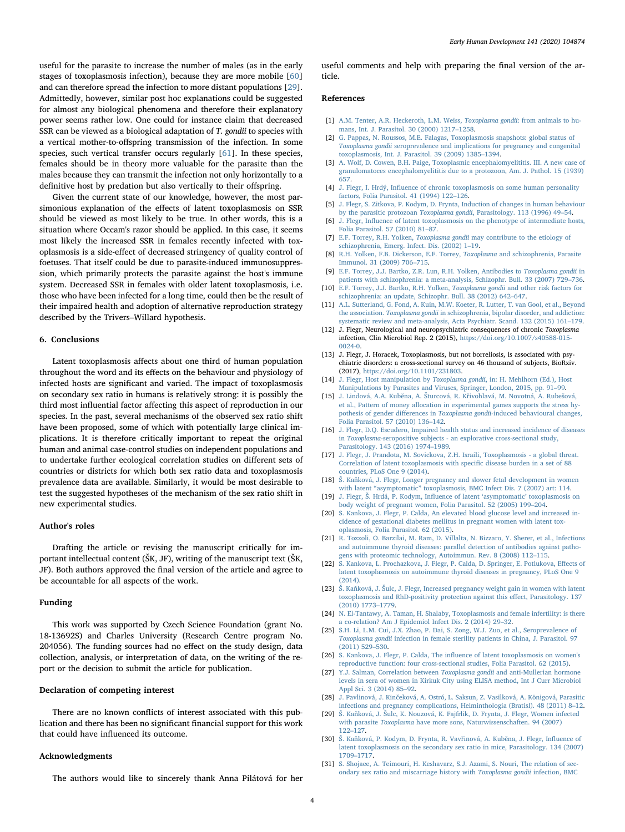useful for the parasite to increase the number of males (as in the early stages of toxoplasmosis infection), because they are more mobile [\[60](#page-4-26)] and can therefore spread the infection to more distant populations [\[29](#page-3-23)]. Admittedly, however, similar post hoc explanations could be suggested for almost any biological phenomena and therefore their explanatory power seems rather low. One could for instance claim that decreased SSR can be viewed as a biological adaptation of T. gondii to species with a vertical mother-to-offspring transmission of the infection. In some species, such vertical transfer occurs regularly [[61\]](#page-4-27). In these species, females should be in theory more valuable for the parasite than the males because they can transmit the infection not only horizontally to a definitive host by predation but also vertically to their offspring.

Given the current state of our knowledge, however, the most parsimonious explanation of the effects of latent toxoplasmosis on SSR should be viewed as most likely to be true. In other words, this is a situation where Occam's razor should be applied. In this case, it seems most likely the increased SSR in females recently infected with toxoplasmosis is a side-effect of decreased stringency of quality control of foetuses. That itself could be due to parasite-induced immunosuppression, which primarily protects the parasite against the host's immune system. Decreased SSR in females with older latent toxoplasmosis, i.e. those who have been infected for a long time, could then be the result of their impaired health and adoption of alternative reproduction strategy described by the Trivers–Willard hypothesis.

#### 6. Conclusions

Latent toxoplasmosis affects about one third of human population throughout the word and its effects on the behaviour and physiology of infected hosts are significant and varied. The impact of toxoplasmosis on secondary sex ratio in humans is relatively strong: it is possibly the third most influential factor affecting this aspect of reproduction in our species. In the past, several mechanisms of the observed sex ratio shift have been proposed, some of which with potentially large clinical implications. It is therefore critically important to repeat the original human and animal case-control studies on independent populations and to undertake further ecological correlation studies on different sets of countries or districts for which both sex ratio data and toxoplasmosis prevalence data are available. Similarly, it would be most desirable to test the suggested hypotheses of the mechanism of the sex ratio shift in new experimental studies.

#### Author's roles

Drafting the article or revising the manuscript critically for important intellectual content (ŠK, JF), writing of the manuscript text (ŠK, JF). Both authors approved the final version of the article and agree to be accountable for all aspects of the work.

#### Funding

This work was supported by Czech Science Foundation (grant No. 18-13692S) and Charles University (Research Centre program No. 204056). The funding sources had no effect on the study design, data collection, analysis, or interpretation of data, on the writing of the report or the decision to submit the article for publication.

# Declaration of competing interest

There are no known conflicts of interest associated with this publication and there has been no significant financial support for this work that could have influenced its outcome.

## Acknowledgments

The authors would like to sincerely thank Anna Pilátová for her

useful comments and help with preparing the final version of the article.

### References

- <span id="page-3-0"></span>[1] [A.M. Tenter, A.R. Heckeroth, L.M. Weiss,](http://refhub.elsevier.com/S0378-3782(19)30528-6/rf0005) Toxoplasma gondii: from animals to hu[mans, Int. J. Parasitol. 30 \(2000\) 1217](http://refhub.elsevier.com/S0378-3782(19)30528-6/rf0005)–1258.
- <span id="page-3-1"></span>[2] [G. Pappas, N. Roussos, M.E. Falagas, Toxoplasmosis snapshots: global status of](http://refhub.elsevier.com/S0378-3782(19)30528-6/rf0010) Toxoplasma gondii [seroprevalence and implications for pregnancy and congenital](http://refhub.elsevier.com/S0378-3782(19)30528-6/rf0010) [toxoplasmosis, Int. J. Parasitol. 39 \(2009\) 1385](http://refhub.elsevier.com/S0378-3782(19)30528-6/rf0010)–1394.
- <span id="page-3-2"></span>[3] [A. Wolf, D. Cowen, B.H. Paige, Toxoplasmic encephalomyelititis. III. A new case of](http://refhub.elsevier.com/S0378-3782(19)30528-6/rf0015) [granulomatoces encephalomyelititis due to a protozoon, Am. J. Pathol. 15 \(1939\)](http://refhub.elsevier.com/S0378-3782(19)30528-6/rf0015) [657.](http://refhub.elsevier.com/S0378-3782(19)30528-6/rf0015)
- <span id="page-3-3"></span>[4] J. Flegr, I. Hrdý, Infl[uence of chronic toxoplasmosis on some human personality](http://refhub.elsevier.com/S0378-3782(19)30528-6/rf0020) [factors, Folia Parasitol. 41 \(1994\) 122](http://refhub.elsevier.com/S0378-3782(19)30528-6/rf0020)–126.
- <span id="page-3-4"></span>[5] [J. Flegr, S. Zitkova, P. Kodym, D. Frynta, Induction of changes in human behaviour](http://refhub.elsevier.com/S0378-3782(19)30528-6/rf0025) by the parasitic protozoan Toxoplasma gondii[, Parasitology. 113 \(1996\) 49](http://refhub.elsevier.com/S0378-3782(19)30528-6/rf0025)–54.
- <span id="page-3-5"></span>[6] J. Flegr, Infl[uence of latent toxoplasmosis on the phenotype of intermediate hosts,](http://refhub.elsevier.com/S0378-3782(19)30528-6/rf0030) [Folia Parasitol. 57 \(2010\) 81](http://refhub.elsevier.com/S0378-3782(19)30528-6/rf0030)–87.
- <span id="page-3-6"></span>[7] E.F. Torrey, R.H. Yolken, Toxoplasma gondii [may contribute to the etiology of](http://refhub.elsevier.com/S0378-3782(19)30528-6/rf0035) [schizophrenia, Emerg. Infect. Dis. \(2002\) 1](http://refhub.elsevier.com/S0378-3782(19)30528-6/rf0035)–19.
- [8] [R.H. Yolken, F.B. Dickerson, E.F. Torrey,](http://refhub.elsevier.com/S0378-3782(19)30528-6/rf0040) Toxoplasma and schizophrenia, Parasite [Immunol. 31 \(2009\) 706](http://refhub.elsevier.com/S0378-3782(19)30528-6/rf0040)–715.
- [9] [E.F. Torrey, J.J. Bartko, Z.R. Lun, R.H. Yolken, Antibodies to](http://refhub.elsevier.com/S0378-3782(19)30528-6/rf0045) Toxoplasma gondii in [patients with schizophrenia: a meta-analysis, Schizophr. Bull. 33 \(2007\) 729](http://refhub.elsevier.com/S0378-3782(19)30528-6/rf0045)-736.
- [10] [E.F. Torrey, J.J. Bartko, R.H. Yolken,](http://refhub.elsevier.com/S0378-3782(19)30528-6/rf0050) Toxoplasma gondii and other risk factors for [schizophrenia: an update, Schizophr. Bull. 38 \(2012\) 642](http://refhub.elsevier.com/S0378-3782(19)30528-6/rf0050)–647.
- <span id="page-3-7"></span>[11] [A.L. Sutterland, G. Fond, A. Kuin, M.W. Koeter, R. Lutter, T. van Gool, et al., Beyond](http://refhub.elsevier.com/S0378-3782(19)30528-6/rf0055) the association. Toxoplasma gondii [in schizophrenia, bipolar disorder, and addiction:](http://refhub.elsevier.com/S0378-3782(19)30528-6/rf0055) [systematic review and meta-analysis, Acta Psychiatr. Scand. 132 \(2015\) 161](http://refhub.elsevier.com/S0378-3782(19)30528-6/rf0055)–179.
- [12] J. Flegr, Neurological and neuropsychiatric consequences of chronic Toxoplasma infection, Clin Microbiol Rep. 2 (2015), [https://doi.org/10.1007/s40588-015-](https://doi.org/10.1007/s40588-015-0024-0) [0024-0.](https://doi.org/10.1007/s40588-015-0024-0)
- [13] J. Flegr, J. Horacek, Toxoplasmosis, but not borreliosis, is associated with psychiatric disorders: a cross-sectional survey on 46 thousand of subjects, BioRxiv. (2017), [https://doi.org/10.1101/231803.](https://doi.org/10.1101/231803)
- <span id="page-3-8"></span>[14] [J. Flegr, Host manipulation by](http://refhub.elsevier.com/S0378-3782(19)30528-6/rf0070) Toxoplasma gondii, in: H. Mehlhorn (Ed.), Host [Manipulations by Parasites and Viruses, Springer, London, 2015, pp. 91](http://refhub.elsevier.com/S0378-3782(19)30528-6/rf0070)–99.
- <span id="page-3-9"></span>[15] J. Lindová, A.A. Kuběna, A. Šturcová, R. Kř[ivohlavá, M. Novotná, A. Rube](http://refhub.elsevier.com/S0378-3782(19)30528-6/rf0075)šová, [et al., Pattern of money allocation in experimental games supports the stress hy](http://refhub.elsevier.com/S0378-3782(19)30528-6/rf0075)pothesis of gender differences in Toxoplasma gondii[-induced behavioural changes,](http://refhub.elsevier.com/S0378-3782(19)30528-6/rf0075) [Folia Parasitol. 57 \(2010\) 136](http://refhub.elsevier.com/S0378-3782(19)30528-6/rf0075)–142.
- <span id="page-3-10"></span>[16] [J. Flegr, D.Q. Escudero, Impaired health status and increased incidence of diseases](http://refhub.elsevier.com/S0378-3782(19)30528-6/rf0080) in Toxoplasma[-seropositive subjects - an explorative cross-sectional study,](http://refhub.elsevier.com/S0378-3782(19)30528-6/rf0080) [Parasitology. 143 \(2016\) 1974](http://refhub.elsevier.com/S0378-3782(19)30528-6/rf0080)–1989.
- <span id="page-3-11"></span>[17] [J. Flegr, J. Prandota, M. Sovickova, Z.H. Israili, Toxoplasmosis - a global threat.](http://refhub.elsevier.com/S0378-3782(19)30528-6/rf0085) [Correlation of latent toxoplasmosis with speci](http://refhub.elsevier.com/S0378-3782(19)30528-6/rf0085)fic disease burden in a set of 88 [countries, PLoS One 9 \(2014\).](http://refhub.elsevier.com/S0378-3782(19)30528-6/rf0085)
- <span id="page-3-12"></span>[18] Š. Kaň[ková, J. Flegr, Longer pregnancy and slower fetal development in women](http://refhub.elsevier.com/S0378-3782(19)30528-6/rf0090) with latent "asymptomatic" [toxoplasmosis, BMC Infect Dis. 7 \(2007\) art: 114.](http://refhub.elsevier.com/S0378-3782(19)30528-6/rf0090)
- <span id="page-3-13"></span>[19] J. Flegr, Š[. Hrdá, P. Kodym, In](http://refhub.elsevier.com/S0378-3782(19)30528-6/rf0095)fluence of latent 'asymptomatic' toxoplasmosis on [body weight of pregnant women, Folia Parasitol. 52 \(2005\) 199](http://refhub.elsevier.com/S0378-3782(19)30528-6/rf0095)–204.
- <span id="page-3-14"></span>[20] [S. Kankova, J. Flegr, P. Calda, An elevated blood glucose level and increased in](http://refhub.elsevier.com/S0378-3782(19)30528-6/rf0100)[cidence of gestational diabetes mellitus in pregnant women with latent tox](http://refhub.elsevier.com/S0378-3782(19)30528-6/rf0100)[oplasmosis, Folia Parasitol. 62 \(2015\).](http://refhub.elsevier.com/S0378-3782(19)30528-6/rf0100)
- <span id="page-3-15"></span>[21] [R. Tozzoli, O. Barzilai, M. Ram, D. Villalta, N. Bizzaro, Y. Sherer, et al., Infections](http://refhub.elsevier.com/S0378-3782(19)30528-6/rf0105) [and autoimmune thyroid diseases: parallel detection of antibodies against patho](http://refhub.elsevier.com/S0378-3782(19)30528-6/rf0105)[gens with proteomic technology, Autoimmun. Rev. 8 \(2008\) 112](http://refhub.elsevier.com/S0378-3782(19)30528-6/rf0105)–115.
- <span id="page-3-16"></span>[22] [S. Kankova, L. Prochazkova, J. Flegr, P. Calda, D. Springer, E. Potlukova, E](http://refhub.elsevier.com/S0378-3782(19)30528-6/rf0110)ffects of [latent toxoplasmosis on autoimmune thyroid diseases in pregnancy, PLoS One 9](http://refhub.elsevier.com/S0378-3782(19)30528-6/rf0110) [\(2014\).](http://refhub.elsevier.com/S0378-3782(19)30528-6/rf0110)
- <span id="page-3-17"></span>[23] Š. Kaňková, J. Š[ulc, J. Flegr, Increased pregnancy weight gain in women with latent](http://refhub.elsevier.com/S0378-3782(19)30528-6/rf0115) [toxoplasmosis and RhD-positivity protection against this e](http://refhub.elsevier.com/S0378-3782(19)30528-6/rf0115)ffect, Parasitology. 137 [\(2010\) 1773](http://refhub.elsevier.com/S0378-3782(19)30528-6/rf0115)–1779.
- <span id="page-3-18"></span>[24] [N. El-Tantawy, A. Taman, H. Shalaby, Toxoplasmosis and female infertility: is there](http://refhub.elsevier.com/S0378-3782(19)30528-6/rf0120) [a co-relation? Am J Epidemiol Infect Dis. 2 \(2014\) 29](http://refhub.elsevier.com/S0378-3782(19)30528-6/rf0120)–32.
- <span id="page-3-19"></span>[25] S.H. [Li, L.M. Cui, J.X. Zhao, P. Dai, S. Zong, W.J. Zuo, et al., Seroprevalence of](http://refhub.elsevier.com/S0378-3782(19)30528-6/rf0125) Toxoplasma gondii [infection in female sterility patients in China, J. Parasitol. 97](http://refhub.elsevier.com/S0378-3782(19)30528-6/rf0125) [\(2011\) 529](http://refhub.elsevier.com/S0378-3782(19)30528-6/rf0125)–530.
- <span id="page-3-20"></span>[26] S. Kankova, J. Flegr, P. Calda, The infl[uence of latent toxoplasmosis on women's](http://refhub.elsevier.com/S0378-3782(19)30528-6/rf0130) [reproductive function: four cross-sectional studies, Folia Parasitol. 62 \(2015\).](http://refhub.elsevier.com/S0378-3782(19)30528-6/rf0130)
- <span id="page-3-21"></span>[27] [Y.J. Salman, Correlation between](http://refhub.elsevier.com/S0378-3782(19)30528-6/rf0135) Toxoplasma gondii and anti-Mullerian hormone [levels in sera of women in Kirkuk City using ELISA method, Int J Curr Microbiol](http://refhub.elsevier.com/S0378-3782(19)30528-6/rf0135) [Appl Sci. 3 \(2014\) 85](http://refhub.elsevier.com/S0378-3782(19)30528-6/rf0135)–92.
- <span id="page-3-22"></span>[28] J. Pavlinová, J. Kinč[eková, A. Ostró, L. Saksun, Z. Vasilková, A. K](http://refhub.elsevier.com/S0378-3782(19)30528-6/rf0140)ӧnigová, Parasitic [infections and pregnancy complications, Helminthologia \(Bratisl\). 48 \(2011\) 8](http://refhub.elsevier.com/S0378-3782(19)30528-6/rf0140)–12.
- <span id="page-3-23"></span>[29] Š. Kaňková, J. Š[ulc, K. Nouzová, K. Fajfrlik, D. Frynta, J. Flegr, Women infected](http://refhub.elsevier.com/S0378-3782(19)30528-6/rf0145) with parasite Toxoplasma [have more sons, Naturwissenschaften. 94 \(2007\)](http://refhub.elsevier.com/S0378-3782(19)30528-6/rf0145) 122–[127.](http://refhub.elsevier.com/S0378-3782(19)30528-6/rf0145)
- <span id="page-3-24"></span>[30] Š. Kaň[ková, P. Kodym, D. Frynta, R. Vav](http://refhub.elsevier.com/S0378-3782(19)30528-6/rf0150)řinová, A. Kuběna, J. Flegr, Influence of [latent toxoplasmosis on the secondary sex ratio in mice, Parasitology. 134 \(2007\)](http://refhub.elsevier.com/S0378-3782(19)30528-6/rf0150) 1709–[1717.](http://refhub.elsevier.com/S0378-3782(19)30528-6/rf0150)
- <span id="page-3-25"></span>[31] [S. Shojaee, A. Teimouri, H. Keshavarz, S.J. Azami, S. Nouri, The relation of sec](http://refhub.elsevier.com/S0378-3782(19)30528-6/rf0155)[ondary sex ratio and miscarriage history with](http://refhub.elsevier.com/S0378-3782(19)30528-6/rf0155) Toxoplasma gondii infection, BMC